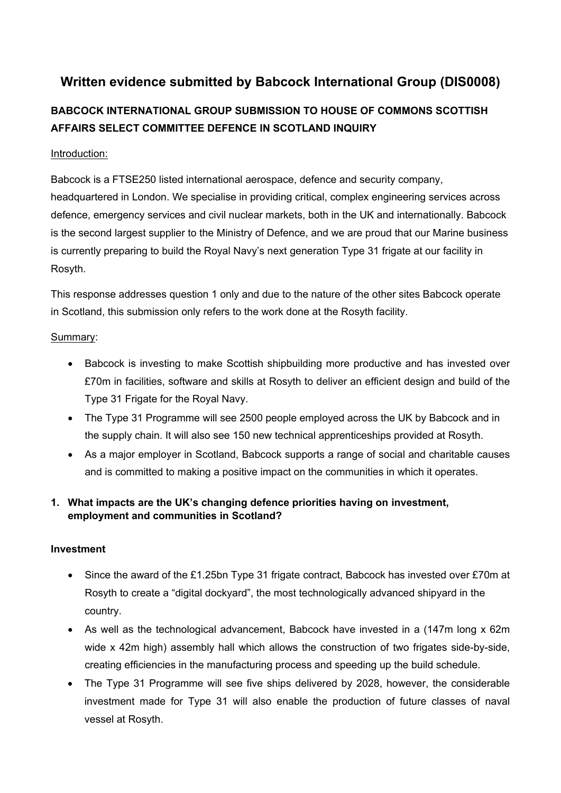# **Written evidence submitted by Babcock International Group (DIS0008)**

# **BABCOCK INTERNATIONAL GROUP SUBMISSION TO HOUSE OF COMMONS SCOTTISH AFFAIRS SELECT COMMITTEE DEFENCE IN SCOTLAND INQUIRY**

# Introduction:

Babcock is a FTSE250 listed international aerospace, defence and security company, headquartered in London. We specialise in providing critical, complex engineering services across defence, emergency services and civil nuclear markets, both in the UK and internationally. Babcock is the second largest supplier to the Ministry of Defence, and we are proud that our Marine business is currently preparing to build the Royal Navy's next generation Type 31 frigate at our facility in Rosyth.

This response addresses question 1 only and due to the nature of the other sites Babcock operate in Scotland, this submission only refers to the work done at the Rosyth facility.

## Summary:

- Babcock is investing to make Scottish shipbuilding more productive and has invested over £70m in facilities, software and skills at Rosyth to deliver an efficient design and build of the Type 31 Frigate for the Royal Navy.
- The Type 31 Programme will see 2500 people employed across the UK by Babcock and in the supply chain. It will also see 150 new technical apprenticeships provided at Rosyth.
- As a major employer in Scotland, Babcock supports a range of social and charitable causes and is committed to making a positive impact on the communities in which it operates.

# **1. What impacts are the UK's changing defence priorities having on investment, employment and communities in Scotland?**

#### **Investment**

- Since the award of the £1.25bn Type 31 frigate contract, Babcock has invested over £70m at Rosyth to create a "digital dockyard", the most technologically advanced shipyard in the country.
- As well as the technological advancement, Babcock have invested in a (147m long x 62m wide x 42m high) assembly hall which allows the construction of two frigates side-by-side, creating efficiencies in the manufacturing process and speeding up the build schedule.
- The Type 31 Programme will see five ships delivered by 2028, however, the considerable investment made for Type 31 will also enable the production of future classes of naval vessel at Rosyth.